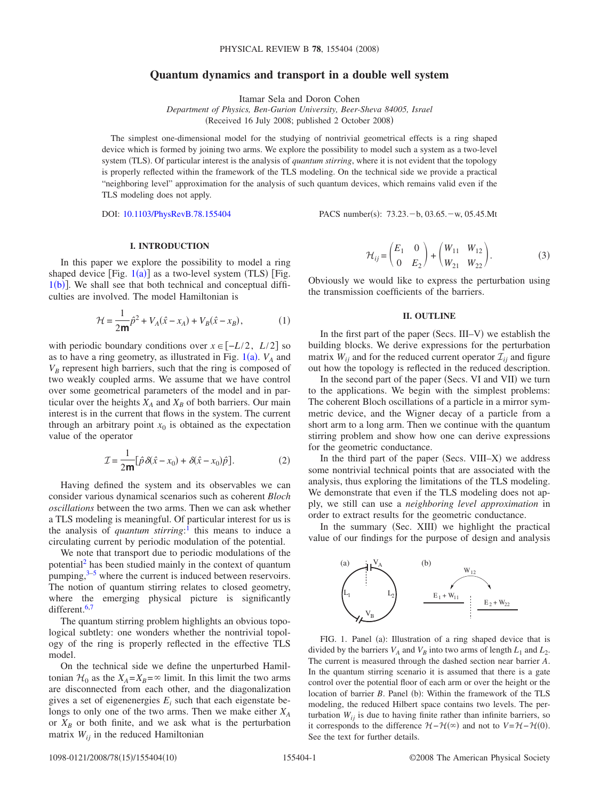# **Quantum dynamics and transport in a double well system**

Itamar Sela and Doron Cohen

*Department of Physics, Ben-Gurion University, Beer-Sheva 84005, Israel* (Received 16 July 2008; published 2 October 2008)

The simplest one-dimensional model for the studying of nontrivial geometrical effects is a ring shaped device which is formed by joining two arms. We explore the possibility to model such a system as a two-level system (TLS). Of particular interest is the analysis of *quantum stirring*, where it is not evident that the topology is properly reflected within the framework of the TLS modeling. On the technical side we provide a practical "neighboring level" approximation for the analysis of such quantum devices, which remains valid even if the TLS modeling does not apply.

DOI: [10.1103/PhysRevB.78.155404](http://dx.doi.org/10.1103/PhysRevB.78.155404)

PACS number(s):  $73.23.-b$ ,  $03.65.-w$ ,  $05.45.Mt$ 

## **I. INTRODUCTION**

In this paper we explore the possibility to model a ring shaped device [Fig.  $1(a)$  $1(a)$ ] as a two-level system (TLS) [Fig.  $1(b)$  $1(b)$ ]. We shall see that both technical and conceptual difficulties are involved. The model Hamiltonian is

$$
\mathcal{H} = \frac{1}{2m}\hat{p}^2 + V_A(\hat{x} - x_A) + V_B(\hat{x} - x_B),
$$
 (1)

with periodic boundary conditions over  $x \in [-L/2, L/2]$  so as to have a ring geometry, as illustrated in Fig.  $1(a)$  $1(a)$ .  $V_A$  and  $V_B$  represent high barriers, such that the ring is composed of two weakly coupled arms. We assume that we have control over some geometrical parameters of the model and in particular over the heights  $X_A$  and  $X_B$  of both barriers. Our main interest is in the current that flows in the system. The current through an arbitrary point  $x_0$  is obtained as the expectation value of the operator

$$
\mathcal{I} = \frac{1}{2m} [\hat{p}\,\delta(\hat{x} - x_0) + \delta(\hat{x} - x_0)\hat{p}].\tag{2}
$$

<span id="page-0-1"></span>Having defined the system and its observables we can consider various dynamical scenarios such as coherent *Bloch oscillations* between the two arms. Then we can ask whether a TLS modeling is meaningful. Of particular interest for us is the analysis of *quantum stirring*: [1](#page-8-0) this means to induce a circulating current by periodic modulation of the potential.

We note that transport due to periodic modulations of the potentia[l2](#page-8-1) has been studied mainly in the context of quantum pumping, $3-5$  where the current is induced between reservoirs. The notion of quantum stirring relates to closed geometry, where the emerging physical picture is significantly different.<sup>6[,7](#page-8-5)</sup>

The quantum stirring problem highlights an obvious topological subtlety: one wonders whether the nontrivial topology of the ring is properly reflected in the effective TLS model.

On the technical side we define the unperturbed Hamiltonian  $\mathcal{H}_0$  as the  $X_A = X_B = \infty$  limit. In this limit the two arms are disconnected from each other, and the diagonalization gives a set of eigenenergies  $E_i$  such that each eigenstate belongs to only one of the two arms. Then we make either *XA* or  $X_B$  or both finite, and we ask what is the perturbation matrix  $W_{ii}$  in the reduced Hamiltonian

$$
\mathcal{H}_{ij} = \begin{pmatrix} E_1 & 0 \\ 0 & E_2 \end{pmatrix} + \begin{pmatrix} W_{11} & W_{12} \\ W_{21} & W_{22} \end{pmatrix}.
$$
 (3)

Obviously we would like to express the perturbation using the transmission coefficients of the barriers.

## **II. OUTLINE**

In the first part of the paper (Secs. III–V) we establish the building blocks. We derive expressions for the perturbation matrix  $W_{ii}$  and for the reduced current operator  $\mathcal{I}_{ii}$  and figure out how the topology is reflected in the reduced description.

In the second part of the paper (Secs. VI and VII) we turn to the applications. We begin with the simplest problems: The coherent Bloch oscillations of a particle in a mirror symmetric device, and the Wigner decay of a particle from a short arm to a long arm. Then we continue with the quantum stirring problem and show how one can derive expressions for the geometric conductance.

In the third part of the paper (Secs. VIII–X) we address some nontrivial technical points that are associated with the analysis, thus exploring the limitations of the TLS modeling. We demonstrate that even if the TLS modeling does not apply, we still can use a *neighboring level approximation* in order to extract results for the geometric conductance.

In the summary (Sec. XIII) we highlight the practical value of our findings for the purpose of design and analysis

<span id="page-0-0"></span>

FIG. 1. Panel (a): Illustration of a ring shaped device that is divided by the barriers  $V_A$  and  $V_B$  into two arms of length  $L_1$  and  $L_2$ . The current is measured through the dashed section near barrier *A*. In the quantum stirring scenario it is assumed that there is a gate control over the potential floor of each arm or over the height or the location of barrier *B*. Panel (b): Within the framework of the TLS modeling, the reduced Hilbert space contains two levels. The perturbation  $W_{ij}$  is due to having finite rather than infinite barriers, so it corresponds to the difference  $H - H(\infty)$  and not to  $V = H - H(0)$ . See the text for further details.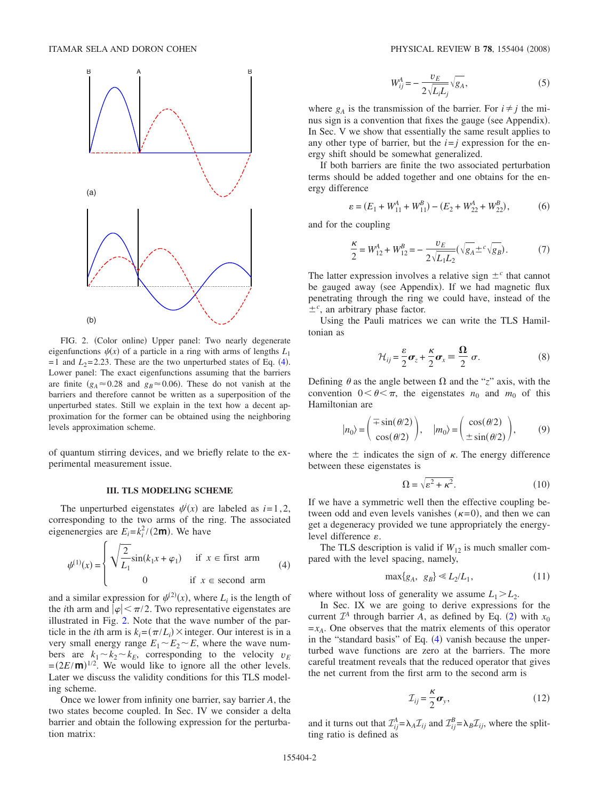<span id="page-1-0"></span>

FIG. 2. (Color online) Upper panel: Two nearly degenerate eigenfunctions  $\psi(x)$  of a particle in a ring with arms of lengths  $L_1$  $= 1$  and  $L_2 = 2.23$ . These are the two unperturbed states of Eq. ([4](#page-1-1)). Lower panel: The exact eigenfunctions assuming that the barriers are finite ( $g_A \approx 0.28$  and  $g_B \approx 0.06$ ). These do not vanish at the barriers and therefore cannot be written as a superposition of the unperturbed states. Still we explain in the text how a decent approximation for the former can be obtained using the neighboring levels approximation scheme.

of quantum stirring devices, and we briefly relate to the experimental measurement issue.

## **III. TLS MODELING SCHEME**

The unperturbed eigenstates  $\psi^i(x)$  are labeled as  $i=1,2,$ corresponding to the two arms of the ring. The associated eigenenergies are  $E_i = k_i^2 / (2m)$ . We have

<span id="page-1-1"></span>
$$
\psi^{(1)}(x) = \begin{cases} \sqrt{\frac{2}{L_1}} \sin(k_1 x + \varphi_1) & \text{if } x \in \text{first arm} \\ 0 & \text{if } x \in \text{second arm} \end{cases} \tag{4}
$$

and a similar expression for  $\psi^{(2)}(x)$ , where  $L_i$  is the length of the *i*th arm and  $|\varphi| < \pi/2$ . Two representative eigenstates are illustrated in Fig. [2.](#page-1-0) Note that the wave number of the particle in the *i*th arm is  $k_i = (\pi/L_i) \times \text{integer}$ . Our interest is in a very small energy range  $E_1 \sim E_2 \sim E$ , where the wave numbers are  $k_1 \sim k_2 \sim k_E$ , corresponding to the velocity  $v_E$  $=(2E/\mathbf{m})^{1/2}$ . We would like to ignore all the other levels. Later we discuss the validity conditions for this TLS modeling scheme.

Once we lower from infinity one barrier, say barrier *A*, the two states become coupled. In Sec. IV we consider a delta barrier and obtain the following expression for the perturbation matrix:

$$
W_{ij}^A = -\frac{v_E}{2\sqrt{L_i L_j}} \sqrt{g_A},\tag{5}
$$

<span id="page-1-2"></span>where  $g_A$  is the transmission of the barrier. For  $i \neq j$  the minus sign is a convention that fixes the gauge (see Appendix). In Sec. V we show that essentially the same result applies to any other type of barrier, but the  $i = j$  expression for the energy shift should be somewhat generalized.

If both barriers are finite the two associated perturbation terms should be added together and one obtains for the energy difference

$$
\varepsilon = (E_1 + W_{11}^A + W_{11}^B) - (E_2 + W_{22}^A + W_{22}^B),
$$
 (6)

<span id="page-1-7"></span>and for the coupling

$$
\frac{\kappa}{2} = W_{12}^A + W_{12}^B = -\frac{v_E}{2\sqrt{L_1 L_2}} (\sqrt{g_A} \pm c \sqrt{g_B}).
$$
 (7)

<span id="page-1-3"></span>The latter expression involves a relative sign  $\pm^c$  that cannot be gauged away (see Appendix). If we had magnetic flux penetrating through the ring we could have, instead of the  $\pm$ <sup>c</sup>, an arbitrary phase factor.

Using the Pauli matrices we can write the TLS Hamiltonian as

$$
\mathcal{H}_{ij} = \frac{\varepsilon}{2}\boldsymbol{\sigma}_z + \frac{\kappa}{2}\boldsymbol{\sigma}_x \equiv \frac{\Omega}{2} \sigma. \tag{8}
$$

Defining  $\theta$  as the angle between  $\Omega$  and the "*z*" axis, with the convention  $0 < \theta < \pi$ , the eigenstates  $n_0$  and  $m_0$  of this Hamiltonian are

$$
n_0\rangle = \begin{pmatrix} \mp \sin(\theta/2) \\ \cos(\theta/2) \end{pmatrix}, \quad |m_0\rangle = \begin{pmatrix} \cos(\theta/2) \\ \pm \sin(\theta/2) \end{pmatrix}, \tag{9}
$$

<span id="page-1-4"></span>where the  $\pm$  indicates the sign of  $\kappa$ . The energy difference between these eigenstates is

$$
\Omega = \sqrt{\varepsilon^2 + \kappa^2}.\tag{10}
$$

If we have a symmetric well then the effective coupling between odd and even levels vanishes  $(\kappa=0)$ , and then we can get a degeneracy provided we tune appropriately the energylevel difference  $\varepsilon$ .

The TLS description is valid if  $W_{12}$  is much smaller compared with the level spacing, namely,

$$
\max\{g_A, g_B\} \ll L_2/L_1,\tag{11}
$$

<span id="page-1-5"></span>where without loss of generality we assume  $L_1 > L_2$ .

In Sec. IX we are going to derive expressions for the current  $\mathcal{I}^A$  through barrier *A*, as defined by Eq. ([2](#page-0-1)) with  $x_0$  $=x_A$ . One observes that the matrix elements of this operator in the "standard basis" of Eq. ([4](#page-1-1)) vanish because the unperturbed wave functions are zero at the barriers. The more careful treatment reveals that the reduced operator that gives the net current from the first arm to the second arm is

$$
\mathcal{I}_{ij} = \frac{\kappa}{2} \boldsymbol{\sigma}_y,\tag{12}
$$

<span id="page-1-6"></span>and it turns out that  $\mathcal{I}_{ij}^A = \lambda_A \mathcal{I}_{ij}$  and  $\mathcal{I}_{ij}^B = \lambda_B \mathcal{I}_{ij}$ , where the splitting ratio is defined as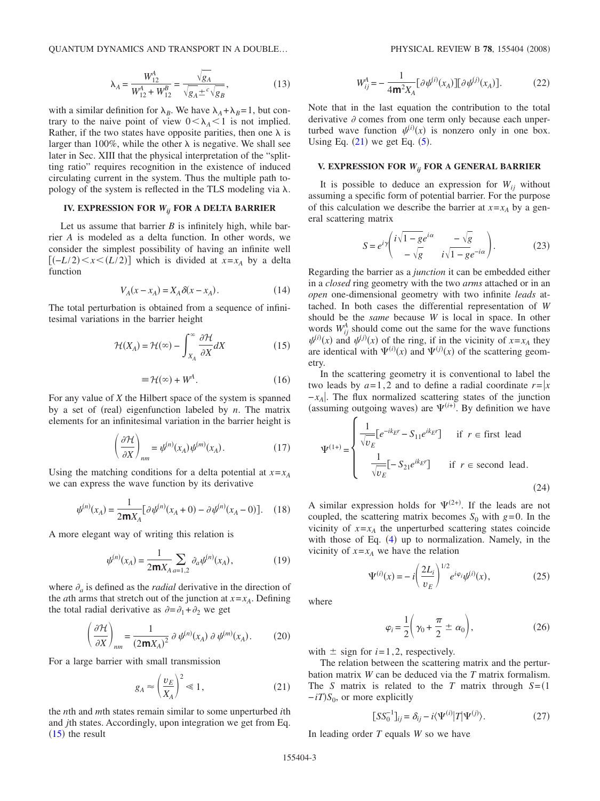QUANTUM DYNAMICS AND TRANSPORT IN A DOUBLE...

$$
\lambda_A = \frac{W_{12}^A}{W_{12}^A + W_{12}^B} = \frac{\sqrt{g_A}}{\sqrt{g_A} \pm^c \sqrt{g_B}},
$$
\n(13)

<span id="page-2-3"></span>with a similar definition for  $\lambda_B$ . We have  $\lambda_A + \lambda_B = 1$ , but contrary to the naive point of view  $0 < \lambda_A < 1$  is not implied. Rather, if the two states have opposite parities, then one  $\lambda$  is larger than 100%, while the other  $\lambda$  is negative. We shall see later in Sec. XIII that the physical interpretation of the "splitting ratio" requires recognition in the existence of induced circulating current in the system. Thus the multiple path topology of the system is reflected in the TLS modeling via  $\lambda$ .

## **IV. EXPRESSION FOR** *Wij* **FOR A DELTA BARRIER**

Let us assume that barrier *B* is infinitely high, while barrier *A* is modeled as a delta function. In other words, we consider the simplest possibility of having an infinite well  $[(-L/2) < x < (L/2)]$  which is divided at  $x=x_A$  by a delta function

$$
V_A(x - x_A) = X_A \delta(x - x_A). \tag{14}
$$

<span id="page-2-0"></span>The total perturbation is obtained from a sequence of infinitesimal variations in the barrier height

$$
\mathcal{H}(X_A) = \mathcal{H}(\infty) - \int_{X_A}^{\infty} \frac{\partial \mathcal{H}}{\partial X} dX \tag{15}
$$

$$
\equiv \mathcal{H}(\infty) + W^A. \tag{16}
$$

For any value of *X* the Hilbert space of the system is spanned by a set of (real) eigenfunction labeled by *n*. The matrix elements for an infinitesimal variation in the barrier height is

$$
\left(\frac{\partial \mathcal{H}}{\partial X}\right)_{nm} = \psi^{(n)}(x_A)\psi^{(m)}(x_A). \tag{17}
$$

Using the matching conditions for a delta potential at  $x = x_A$ we can express the wave function by its derivative

$$
\psi^{(n)}(x_A) = \frac{1}{2mX_A} [\partial \psi^{(n)}(x_A + 0) - \partial \psi^{(n)}(x_A - 0)]. \quad (18)
$$

A more elegant way of writing this relation is

$$
\psi^{(n)}(x_A) = \frac{1}{2mX_A} \sum_{a=1,2} \partial_a \psi^{(n)}(x_A),\tag{19}
$$

<span id="page-2-4"></span>where  $\partial_a$  is defined as the *radial* derivative in the direction of the *a*th arms that stretch out of the junction at  $x = x_A$ . Defining the total radial derivative as  $\partial = \partial_1 + \partial_2$  we get

$$
\left(\frac{\partial \mathcal{H}}{\partial X}\right)_{nm} = \frac{1}{(2mX_A)^2} \partial \psi^{(n)}(x_A) \partial \psi^{(m)}(x_A). \tag{20}
$$

For a large barrier with small transmission

$$
g_A \approx \left(\frac{v_E}{X_A}\right)^2 \ll 1,\tag{21}
$$

<span id="page-2-1"></span>the *n*th and *m*th states remain similar to some unperturbed *i*th and *j*th states. Accordingly, upon integration we get from Eq.  $(15)$  $(15)$  $(15)$  the result

$$
W_{ij}^{A} = -\frac{1}{4m^{2}X_{A}} [\partial \psi^{(i)}(x_{A})] [\partial \psi^{(j)}(x_{A})].
$$
 (22)

Note that in the last equation the contribution to the total derivative  $\partial$  comes from one term only because each unperturbed wave function  $\psi^{(i)}(x)$  is nonzero only in one box. Using Eq.  $(21)$  $(21)$  $(21)$  we get Eq.  $(5)$  $(5)$  $(5)$ .

#### **V. EXPRESSION FOR** *Wij* **FOR A GENERAL BARRIER**

It is possible to deduce an expression for  $W_{ii}$  without assuming a specific form of potential barrier. For the purpose of this calculation we describe the barrier at  $x=x_A$  by a general scattering matrix

$$
S = e^{i\gamma} \left( \frac{i\sqrt{1 - ge^{i\alpha}}}{-\sqrt{g}} - \frac{-\sqrt{g}}{i\sqrt{1 - ge^{-i\alpha}}} \right). \tag{23}
$$

Regarding the barrier as a *junction* it can be embedded either in a *closed* ring geometry with the two *arms* attached or in an *open* one-dimensional geometry with two infinite *leads* attached. In both cases the differential representation of *W* should be the *same* because *W* is local in space. In other words  $W_{ij}^A$  should come out the same for the wave functions  $\psi^{(i)}(x)$  and  $\psi^{(j)}(x)$  of the ring, if in the vicinity of  $x=x_A$  they are identical with  $\Psi^{(i)}(x)$  and  $\Psi^{(j)}(x)$  of the scattering geometry.

In the scattering geometry it is conventional to label the two leads by  $a=1,2$  and to define a radial coordinate  $r = |x|$ −*xA* . The flux normalized scattering states of the junction (assuming outgoing waves) are  $\Psi^{(i+)}$ . By definition we have

$$
\Psi^{(1+)} = \begin{cases}\n\frac{1}{\sqrt{v_E}} [e^{-ik_E r} - S_{11} e^{ik_E r}] & \text{if } r \in \text{first lead} \\
\frac{1}{\sqrt{v_E}} [-S_{21} e^{ik_E r}] & \text{if } r \in \text{second lead.} \n\end{cases}
$$
\n(24)

A similar expression holds for  $\Psi^{(2+)}$ . If the leads are not coupled, the scattering matrix becomes  $S_0$  with  $g=0$ . In the vicinity of  $x=x_A$  the unperturbed scattering states coincide with those of Eq.  $(4)$  $(4)$  $(4)$  up to normalization. Namely, in the vicinity of  $x=x_A$  we have the relation

$$
\Psi^{(i)}(x) = -i \left( \frac{2L_i}{v_E} \right)^{1/2} e^{i\varphi_i} \psi^{(i)}(x), \tag{25}
$$

<span id="page-2-2"></span>where

$$
\varphi_i = \frac{1}{2} \left( \gamma_0 + \frac{\pi}{2} \pm \alpha_0 \right),\tag{26}
$$

with  $\pm$  sign for  $i=1,2$ , respectively.

The relation between the scattering matrix and the perturbation matrix *W* can be deduced via the *T* matrix formalism. The *S* matrix is related to the *T* matrix through  $S = (1$  $-iT$ )S<sub>0</sub>, or more explicitly

$$
[SS_0^{-1}]_{ij} = \delta_{ij} - i\langle \Psi^{(i)}|T|\Psi^{(j)}\rangle.
$$
 (27)

In leading order *T* equals *W* so we have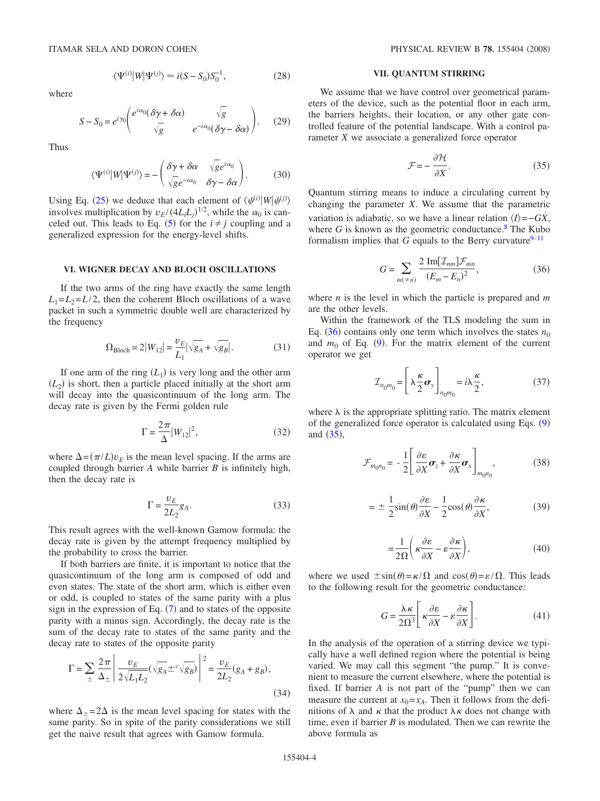where

$$
\langle \Psi^{(i)} | W | \Psi^{(j)} \rangle \approx i(S - S_0) S_0^{-1}, \tag{28}
$$

$$
S - S_0 = e^{i\gamma_0} \left( \frac{e^{i\alpha_0} (\delta \gamma + \delta \alpha)}{\sqrt{g}} \frac{\sqrt{g}}{e^{-i\alpha_0} (\delta \gamma - \delta \alpha)} \right). \tag{29}
$$

Thus

$$
\langle \Psi^{(i)} | W | \Psi^{(j)} \rangle = - \begin{pmatrix} \delta \gamma + \delta \alpha & \sqrt{g} e^{i\alpha_0} \\ \sqrt{g} e^{-i\alpha_0} & \delta \gamma - \delta \alpha \end{pmatrix} . \tag{30}
$$

Using Eq. ([25](#page-2-2)) we deduce that each element of  $\langle \psi^{(i)} | W | \psi^{(j)} \rangle$ involves multiplication by  $v_E/(4L_iL_j)^{1/2}$ , while the  $\alpha_0$  is can-celed out. This leads to Eq. ([5](#page-1-2)) for the  $i \neq j$  coupling and a generalized expression for the energy-level shifts.

## **VI. WIGNER DECAY AND BLOCH OSCILLATIONS**

If the two arms of the ring have exactly the same length  $L_1 = L_2 = L/2$ , then the coherent Bloch oscillations of a wave packet in such a symmetric double well are characterized by the frequency

$$
\Omega_{\text{Bloch}} = 2|W_{12}| = \frac{v_E}{L_1} |\sqrt{g_A} + \sqrt{g_B}|.
$$
 (31)

If one arm of the ring  $(L_1)$  is very long and the other arm  $(L_2)$  is short, then a particle placed initially at the short arm will decay into the quasicontinuum of the long arm. The decay rate is given by the Fermi golden rule

$$
\Gamma = \frac{2\pi}{\Delta} |W_{12}|^2,\tag{32}
$$

where  $\Delta = (\pi/L)v_E$  is the mean level spacing. If the arms are coupled through barrier *A* while barrier *B* is infinitely high, then the decay rate is

$$
\Gamma = \frac{v_E}{2L_2} g_A. \tag{33}
$$

This result agrees with the well-known Gamow formula: the decay rate is given by the attempt frequency multiplied by the probability to cross the barrier.

If both barriers are finite, it is important to notice that the quasicontinuum of the long arm is composed of odd and even states. The state of the short arm, which is either even or odd, is coupled to states of the same parity with a plus sign in the expression of Eq.  $(7)$  $(7)$  $(7)$  and to states of the opposite parity with a minus sign. Accordingly, the decay rate is the sum of the decay rate to states of the same parity and the decay rate to states of the opposite parity

$$
\Gamma = \sum_{\pm} \frac{2\pi}{\Delta_{\pm}} \left| \frac{v_E}{2\sqrt{L_1 L_2}} (\sqrt{g_A} \pm c \sqrt{g_B}) \right|^2 = \frac{v_E}{2L_2} (g_A + g_B), \tag{34}
$$

where  $\Delta_{\pm} = 2\Delta$  is the mean level spacing for states with the same parity. So in spite of the parity considerations we still get the naive result that agrees with Gamow formula.

## **VII. QUANTUM STIRRING**

We assume that we have control over geometrical parameters of the device, such as the potential floor in each arm, the barriers heights, their location, or any other gate controlled feature of the potential landscape. With a control parameter *X* we associate a generalized force operator

$$
\mathcal{F} = -\frac{\partial \mathcal{H}}{\partial X}.
$$
 (35)

<span id="page-3-1"></span>Quantum stirring means to induce a circulating current by changing the parameter *X*. We assume that the parametric variation is adiabatic, so we have a linear relation  $\langle I \rangle = -GX$ , where  $G$  is known as the geometric conductance.<sup>8</sup> The Kubo formalism implies that *G* equals to the Berry curvature<sup>9–[11](#page-9-0)</sup>

$$
G = \sum_{m(\neq n)} \frac{2 \operatorname{Im}[\mathcal{I}_{nm}]\mathcal{F}_{mn}}{(E_m - E_n)^2},\tag{36}
$$

<span id="page-3-0"></span>where *n* is the level in which the particle is prepared and *m* are the other levels.

Within the framework of the TLS modeling the sum in Eq.  $(36)$  $(36)$  $(36)$  contains only one term which involves the states  $n_0$ and  $m_0$  of Eq. ([9](#page-1-4)). For the matrix element of the current operator we get

$$
\mathcal{I}_{n_0 m_0} = \left[ \lambda \frac{\kappa}{2} \boldsymbol{\sigma}_y \right]_{n_0 m_0} = i \lambda \frac{\kappa}{2},\tag{37}
$$

<span id="page-3-2"></span>where  $\lambda$  is the appropriate splitting ratio. The matrix element of the generalized force operator is calculated using Eqs. ([9](#page-1-4)) and  $(35)$  $(35)$  $(35)$ ,

<span id="page-3-3"></span>
$$
\mathcal{F}_{m_0 n_0} = -\frac{1}{2} \left[ \frac{\partial \varepsilon}{\partial X} \boldsymbol{\sigma}_z + \frac{\partial \kappa}{\partial X} \boldsymbol{\sigma}_x \right]_{m_0 n_0}, \qquad (38)
$$

$$
= \pm \frac{1}{2}\sin(\theta)\frac{\partial \varepsilon}{\partial X} - \frac{1}{2}\cos(\theta)\frac{\partial \kappa}{\partial X},\tag{39}
$$

$$
=\frac{1}{2\Omega}\left(\kappa\frac{\partial\epsilon}{\partial X}-\epsilon\frac{\partial\kappa}{\partial X}\right),\tag{40}
$$

where we used  $\pm \sin(\theta) = \kappa/\Omega$  and  $\cos(\theta) = \varepsilon/\Omega$ . This leads to the following result for the geometric conductance:

$$
G = \frac{\lambda \kappa}{2\Omega^3} \left[ \kappa \frac{\partial \varepsilon}{\partial X} - \varepsilon \frac{\partial \kappa}{\partial X} \right].
$$
 (41)

In the analysis of the operation of a stirring device we typically have a well defined region where the potential is being varied. We may call this segment "the pump." It is convenient to measure the current elsewhere, where the potential is fixed. If barrier *A* is not part of the "pump" then we can measure the current at  $x_0 = x_A$ . Then it follows from the definitions of  $\lambda$  and  $\kappa$  that the product  $\lambda \kappa$  does not change with time, even if barrier *B* is modulated. Then we can rewrite the above formula as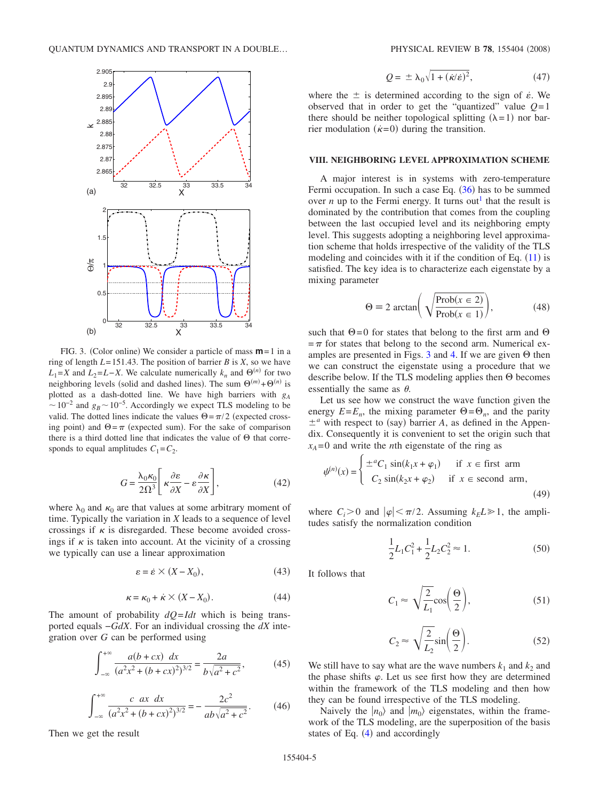<span id="page-4-0"></span>

FIG. 3. (Color online) We consider a particle of mass **m**=1 in a ring of length  $L = 151.43$ . The position of barrier *B* is *X*, so we have  $L_1 = X$  and  $L_2 = L - X$ . We calculate numerically  $k_n$  and  $\Theta^{(n)}$  for two neighboring levels (solid and dashed lines). The sum  $\Theta^{(m)} + \Theta^{(n)}$  is plotted as a dash-dotted line. We have high barriers with *gA*  $\sim 10^{-2}$  and  $g_B \sim 10^{-5}$ . Accordingly we expect TLS modeling to be valid. The dotted lines indicate the values  $\Theta = \pi/2$  (expected crossing point) and  $\Theta = \pi$  (expected sum). For the sake of comparison there is a third dotted line that indicates the value of  $\Theta$  that corresponds to equal amplitudes  $C_1 = C_2$ .

$$
G = \frac{\lambda_0 \kappa_0}{2\Omega^3} \left[ \kappa \frac{\partial \varepsilon}{\partial X} - \varepsilon \frac{\partial \kappa}{\partial X} \right],\tag{42}
$$

where  $\lambda_0$  and  $\kappa_0$  are that values at some arbitrary moment of time. Typically the variation in *X* leads to a sequence of level crossings if  $\kappa$  is disregarded. These become avoided crossings if  $\kappa$  is taken into account. At the vicinity of a crossing we typically can use a linear approximation

$$
\varepsilon = \dot{\varepsilon} \times (X - X_0),\tag{43}
$$

$$
\kappa = \kappa_0 + \dot{\kappa} \times (X - X_0). \tag{44}
$$

The amount of probability *dQ*=*Idt* which is being transported equals −*GdX*. For an individual crossing the *dX* integration over *G* can be performed using

$$
\int_{-\infty}^{+\infty} \frac{a(b+cx) \, dx}{(a^2x^2 + (b+cx)^2)^{3/2}} = \frac{2a}{b\sqrt{a^2 + c^2}},\tag{45}
$$

$$
\int_{-\infty}^{+\infty} \frac{c \, ax \, dx}{(a^2 x^2 + (b + cx)^2)^{3/2}} = -\frac{2c^2}{ab\sqrt{a^2 + c^2}}.\tag{46}
$$

Then we get the result

$$
Q = \pm \lambda_0 \sqrt{1 + (\dot{\kappa}/\dot{\varepsilon})^2}, \tag{47}
$$

<span id="page-4-4"></span>where the  $\pm$  is determined according to the sign of  $\dot{\epsilon}$ . We observed that in order to get the "quantized" value  $Q=1$ there should be neither topological splitting  $(\lambda = 1)$  nor barrier modulation  $(\dot{\kappa}=0)$  during the transition.

#### **VIII. NEIGHBORING LEVEL APPROXIMATION SCHEME**

A major interest is in systems with zero-temperature Fermi occupation. In such a case Eq. ([36](#page-3-0)) has to be summed over *n* up to the Fermi energy. It turns out<sup>1</sup> that the result is dominated by the contribution that comes from the coupling between the last occupied level and its neighboring empty level. This suggests adopting a neighboring level approximation scheme that holds irrespective of the validity of the TLS modeling and coincides with it if the condition of Eq.  $(11)$  $(11)$  $(11)$  is satisfied. The key idea is to characterize each eigenstate by a mixing parameter

$$
\Theta \equiv 2 \arctan\left(\sqrt{\frac{\text{Prob}(x \in 2)}{\text{Prob}(x \in 1)}}\right),\tag{48}
$$

such that  $\Theta = 0$  for states that belong to the first arm and  $\Theta$  $=\pi$  for states that belong to the second arm. Numerical ex-amples are presented in Figs. [3](#page-4-0) and [4.](#page-5-0) If we are given  $\Theta$  then we can construct the eigenstate using a procedure that we describe below. If the TLS modeling applies then  $\Theta$  becomes essentially the same as  $\theta$ .

Let us see how we construct the wave function given the energy  $E=E_n$ , the mixing parameter  $\Theta = \Theta_n$ , and the parity  $\pm^a$  with respect to (say) barrier *A*, as defined in the Appendix. Consequently it is convenient to set the origin such that  $x_A = 0$  and write the *n*th eigenstate of the ring as

<span id="page-4-3"></span>
$$
\psi^{(n)}(x) = \begin{cases} \pm^{a}C_1 \sin(k_1x + \varphi_1) & \text{if } x \in \text{first arm} \\ C_2 \sin(k_2x + \varphi_2) & \text{if } x \in \text{second arm}, \end{cases}
$$
\n(49)

where  $C_i > 0$  and  $|\varphi| < \pi/2$ . Assuming  $k_E L \ge 1$ , the amplitudes satisfy the normalization condition

$$
\frac{1}{2}L_1C_1^2 + \frac{1}{2}L_2C_2^2 \approx 1.
$$
 (50)

<span id="page-4-1"></span>It follows that

$$
C_1 \approx \sqrt{\frac{2}{L_1}} \cos\left(\frac{\Theta}{2}\right),\tag{51}
$$

$$
C_2 \approx \sqrt{\frac{2}{L_2}} \sin\left(\frac{\Theta}{2}\right). \tag{52}
$$

<span id="page-4-2"></span>We still have to say what are the wave numbers  $k_1$  and  $k_2$  and the phase shifts  $\varphi$ . Let us see first how they are determined within the framework of the TLS modeling and then how they can be found irrespective of the TLS modeling.

Naively the  $|n_0\rangle$  and  $|m_0\rangle$  eigenstates, within the framework of the TLS modeling, are the superposition of the basis states of Eq.  $(4)$  $(4)$  $(4)$  and accordingly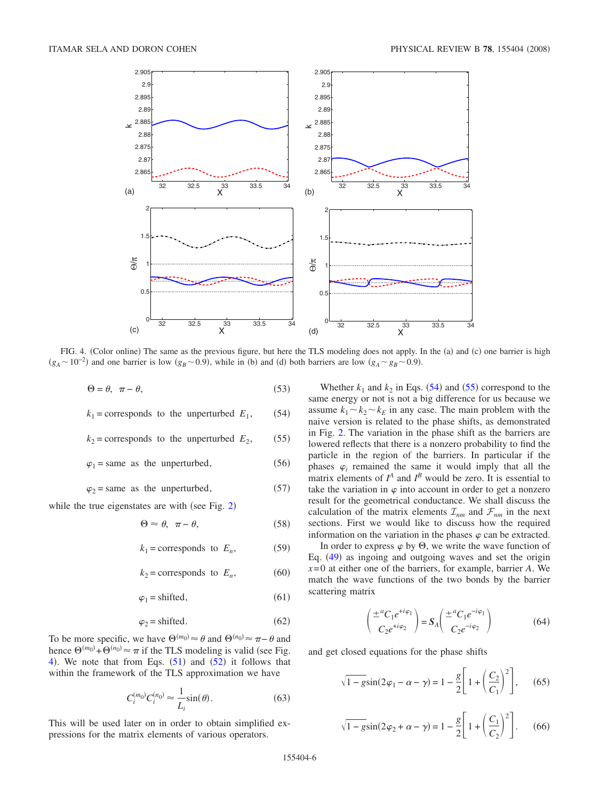<span id="page-5-0"></span>

FIG. 4. (Color online) The same as the previous figure, but here the TLS modeling does not apply. In the (a) and (c) one barrier is high  $(g_A \sim 10^{-2})$  and one barrier is low  $(g_B \sim 0.9)$ , while in (b) and (d) both barriers are low  $(g_A \sim g_B \sim 0.9)$ .

$$
\Theta = \theta, \quad \pi - \theta,\tag{53}
$$

<span id="page-5-1"></span>
$$
k_1
$$
 = corresponds to the unperturbed  $E_1$ , (54)

<span id="page-5-2"></span>
$$
k_2
$$
 = corresponds to the unperturbed  $E_2$ , (55)

 $\varphi_1$  = same as the unperturbed,  $(56)$ 

 $\varphi_2$  = same as the unperturbed, (57)

while the true eigenstates are with (see Fig.  $2$ )

$$
\Theta \approx \theta, \ \pi - \theta,\tag{58}
$$

$$
k_1 = \text{corresponds to } E_n,\tag{59}
$$

$$
k_2 = \text{corresponds to } E_n,\tag{60}
$$

$$
\varphi_1 = \text{shifted},\tag{61}
$$

$$
\varphi_2 = \text{shifted.} \tag{62}
$$

To be more specific, we have  $\Theta^{(m_0)} \approx \theta$  and  $\Theta^{(n_0)} \approx \pi - \theta$  and hence  $\Theta^{(m_0)} + \Theta^{(n_0)} \approx \pi$  if the TLS modeling is valid (see Fig. [4](#page-5-0)). We note that from Eqs.  $(51)$  $(51)$  $(51)$  and  $(52)$  $(52)$  $(52)$  it follows that within the framework of the TLS approximation we have

$$
C_i^{(m_0)}C_i^{(n_0)} \approx \frac{1}{L_i}\sin(\theta). \tag{63}
$$

<span id="page-5-4"></span>This will be used later on in order to obtain simplified expressions for the matrix elements of various operators.

Whether  $k_1$  and  $k_2$  in Eqs. ([54](#page-5-1)) and ([55](#page-5-2)) correspond to the same energy or not is not a big difference for us because we assume  $k_1 \sim k_2 \sim k_E$  in any case. The main problem with the naive version is related to the phase shifts, as demonstrated in Fig. [2.](#page-1-0) The variation in the phase shift as the barriers are lowered reflects that there is a nonzero probability to find the particle in the region of the barriers. In particular if the phases  $\varphi_i$  remained the same it would imply that all the matrix elements of  $I^A$  and  $I^B$  would be zero. It is essential to take the variation in  $\varphi$  into account in order to get a nonzero result for the geometrical conductance. We shall discuss the calculation of the matrix elements  $\mathcal{I}_{nm}$  and  $\mathcal{F}_{nm}$  in the next sections. First we would like to discuss how the required information on the variation in the phases  $\varphi$  can be extracted.

In order to express  $\varphi$  by  $\Theta$ , we write the wave function of Eq. ([49](#page-4-3)) as ingoing and outgoing waves and set the origin *x*= 0 at either one of the barriers, for example, barrier *A*. We match the wave functions of the two bonds by the barrier scattering matrix

$$
\begin{pmatrix} \pm^{a} C_1 e^{+i\varphi_1} \\ C_2 e^{+i\varphi_2} \end{pmatrix} = S_A \begin{pmatrix} \pm^{a} C_1 e^{-i\varphi_1} \\ C_2 e^{-i\varphi_2} \end{pmatrix}
$$
(64)

<span id="page-5-3"></span>and get closed equations for the phase shifts

$$
\sqrt{1 - g}\sin(2\varphi_1 - \alpha - \gamma) = 1 - \frac{g}{2}\left[1 + \left(\frac{C_2}{C_1}\right)^2\right],\qquad(65)
$$

$$
\sqrt{1 - g}\sin(2\varphi_2 + \alpha - \gamma) = 1 - \frac{g}{2} \left[ 1 + \left(\frac{C_1}{C_2}\right)^2 \right].
$$
 (66)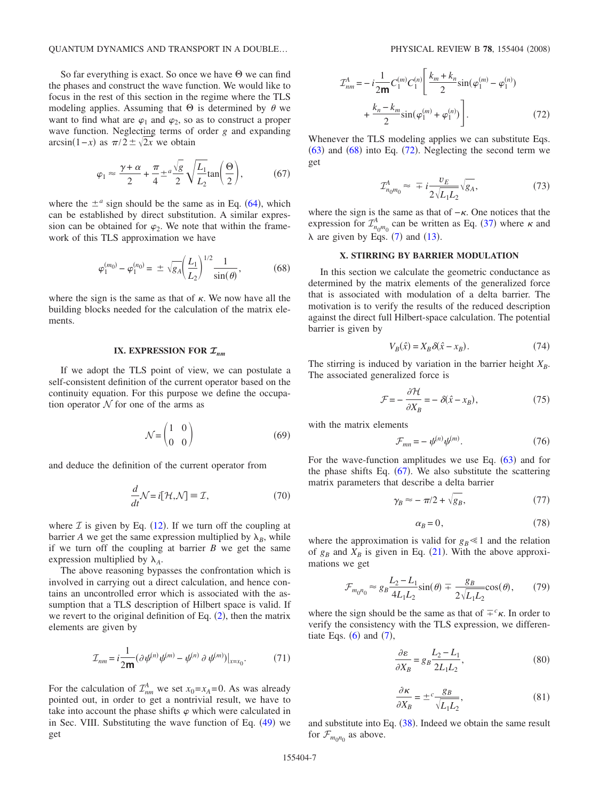#### QUANTUM DYNAMICS AND TRANSPORT IN A DOUBLE...

So far everything is exact. So once we have  $\Theta$  we can find the phases and construct the wave function. We would like to focus in the rest of this section in the regime where the TLS modeling applies. Assuming that  $\Theta$  is determined by  $\theta$  we want to find what are  $\varphi_1$  and  $\varphi_2$ , so as to construct a proper wave function. Neglecting terms of order *g* and expanding  $\arcsin(1-x)$  as  $\pi/2 \pm \sqrt{2x}$  we obtain

$$
\varphi_1 \approx \frac{\gamma + \alpha}{2} + \frac{\pi}{4} \pm \frac{a\sqrt{g}}{2} \sqrt{\frac{L_1}{L_2}} \tan\left(\frac{\Theta}{2}\right),\tag{67}
$$

<span id="page-6-2"></span>where the  $\pm^a$  sign should be the same as in Eq. ([64](#page-5-3)), which can be established by direct substitution. A similar expression can be obtained for  $\varphi$ . We note that within the framework of this TLS approximation we have

$$
\varphi_1^{(m_0)} - \varphi_1^{(n_0)} = \pm \sqrt{g_A} \left(\frac{L_1}{L_2}\right)^{1/2} \frac{1}{\sin(\theta)},\tag{68}
$$

<span id="page-6-0"></span>where the sign is the same as that of  $\kappa$ . We now have all the building blocks needed for the calculation of the matrix elements.

## **IX. EXPRESSION FOR**  $\mathcal{I}_{nm}$

If we adopt the TLS point of view, we can postulate a self-consistent definition of the current operator based on the continuity equation. For this purpose we define the occupation operator  $N$  for one of the arms as

$$
\mathcal{N} = \begin{pmatrix} 1 & 0 \\ 0 & 0 \end{pmatrix} \tag{69}
$$

and deduce the definition of the current operator from

$$
\frac{d}{dt}\mathcal{N} = i[\mathcal{H}, \mathcal{N}] \equiv \mathcal{I},\tag{70}
$$

where  $\mathcal I$  is given by Eq. ([12](#page-1-6)). If we turn off the coupling at barrier *A* we get the same expression multiplied by  $\lambda_B$ , while if we turn off the coupling at barrier *B* we get the same expression multiplied by  $\lambda_A$ .

The above reasoning bypasses the confrontation which is involved in carrying out a direct calculation, and hence contains an uncontrolled error which is associated with the assumption that a TLS description of Hilbert space is valid. If we revert to the original definition of Eq.  $(2)$  $(2)$  $(2)$ , then the matrix elements are given by

$$
\mathcal{I}_{nm} = i \frac{1}{2m} (\partial \psi^{(n)} \psi^{(m)} - \psi^{(n)} \partial \psi^{(m)})|_{x = x_0}.
$$
 (71)

For the calculation of  $\mathcal{I}_{nm}^A$  we set  $x_0 = x_A = 0$ . As was already pointed out, in order to get a nontrivial result, we have to take into account the phase shifts  $\varphi$  which were calculated in in Sec. VIII. Substituting the wave function of Eq. ([49](#page-4-3)) we get

<span id="page-6-1"></span>
$$
\mathcal{I}_{nm}^{A} = -i\frac{1}{2m}C_{1}^{(m)}C_{1}^{(n)}\left[\frac{k_{m}+k_{n}}{2}\sin(\varphi_{1}^{(m)}-\varphi_{1}^{(n)})+\frac{k_{n}-k_{m}}{2}\sin(\varphi_{1}^{(m)}+\varphi_{1}^{(n)})\right].
$$
\n(72)

Whenever the TLS modeling applies we can substitute Eqs.  $(63)$  $(63)$  $(63)$  and  $(68)$  $(68)$  $(68)$  into Eq.  $(72)$  $(72)$  $(72)$ . Neglecting the second term we get

$$
\mathcal{I}_{n_0 m_0}^A \approx \mp i \frac{v_E}{2\sqrt{L_1 L_2}} \sqrt{g_A},\tag{73}
$$

where the sign is the same as that of  $-\kappa$ . One notices that the expression for  $\mathcal{I}_{n_0m_0}^A$  can be written as Eq. ([37](#page-3-2)) where  $\kappa$  and  $\lambda$  are given by Eqs. ([7](#page-1-3)) and ([13](#page-2-3)).

# **X. STIRRING BY BARRIER MODULATION**

In this section we calculate the geometric conductance as determined by the matrix elements of the generalized force that is associated with modulation of a delta barrier. The motivation is to verify the results of the reduced description against the direct full Hilbert-space calculation. The potential barrier is given by

$$
V_B(\hat{x}) = X_B \delta(\hat{x} - x_B). \tag{74}
$$

The stirring is induced by variation in the barrier height  $X_B$ . The associated generalized force is

$$
\mathcal{F} = -\frac{\partial \mathcal{H}}{\partial X_B} = -\delta(\hat{x} - x_B),\tag{75}
$$

with the matrix elements

$$
\mathcal{F}_{mn} = -\psi^{(n)}\psi^{(m)}.\tag{76}
$$

For the wave-function amplitudes we use Eq.  $(63)$  $(63)$  $(63)$  and for the phase shifts Eq.  $(67)$  $(67)$  $(67)$ . We also substitute the scattering matrix parameters that describe a delta barrier

$$
\gamma_B \approx -\pi/2 + \sqrt{g_B},\tag{77}
$$

$$
\alpha_B = 0,\tag{78}
$$

where the approximation is valid for  $g_B \ll 1$  and the relation of  $g_B$  and  $X_B$  is given in Eq. ([21](#page-2-1)). With the above approximations we get

$$
\mathcal{F}_{m_0 n_0} \approx g_B \frac{L_2 - L_1}{4L_1 L_2} \sin(\theta) \mp \frac{g_B}{2\sqrt{L_1 L_2}} \cos(\theta),\qquad(79)
$$

where the sign should be the same as that of  $\pm^c \kappa$ . In order to verify the consistency with the TLS expression, we differentiate Eqs.  $(6)$  $(6)$  $(6)$  and  $(7)$  $(7)$  $(7)$ ,

$$
\frac{\partial \varepsilon}{\partial X_B} = g_B \frac{L_2 - L_1}{2L_1 L_2},\tag{80}
$$

$$
\frac{\partial \kappa}{\partial X_B} = \pm^c \frac{g_B}{\sqrt{L_1 L_2}},\tag{81}
$$

and substitute into Eq.  $(38)$  $(38)$  $(38)$ . Indeed we obtain the same result for  $\mathcal{F}_{m_0 n_0}$  as above.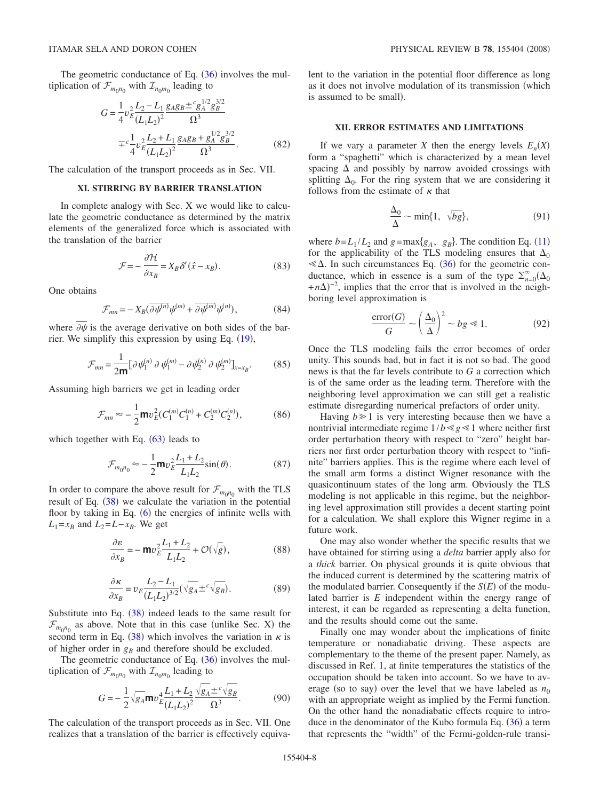The geometric conductance of Eq.  $(36)$  $(36)$  $(36)$  involves the multiplication of  $\mathcal{F}_{m_0 n_0}$  with  $\mathcal{I}_{n_0 m_0}$  leading to

$$
G = \frac{1}{4}v_E^2 \frac{L_2 - L_1}{(L_1L_2)^2} \frac{g_A g_B \pm c g_A^{1/2} g_B^{3/2}}{\Omega^3}
$$

$$
= c \frac{1}{4}v_E^2 \frac{L_2 + L_1}{(L_1L_2)^2} \frac{g_A g_B + g_A^{1/2} g_B^{3/2}}{\Omega^3}.
$$
(82)

The calculation of the transport proceeds as in Sec. VII.

## **XI. STIRRING BY BARRIER TRANSLATION**

In complete analogy with Sec. X we would like to calculate the geometric conductance as determined by the matrix elements of the generalized force which is associated with the translation of the barrier

$$
\mathcal{F} = -\frac{\partial \mathcal{H}}{\partial x_B} = X_B \delta' (\hat{x} - x_B). \tag{83}
$$

One obtains

$$
\mathcal{F}_{mn} = -X_B(\overline{\partial \psi^{(n)}} \psi^{(m)} + \overline{\partial \psi^{(m)}} \psi^{(n)}),\tag{84}
$$

where  $\partial \psi$  is the average derivative on both sides of the barrier. We simplify this expression by using Eq.  $(19)$  $(19)$  $(19)$ ,

$$
\mathcal{F}_{mn} = \frac{1}{2m} \left[ \partial \psi_1^{(n)} \partial \psi_1^{(m)} - \partial \psi_2^{(n)} \partial \psi_2^{(m)} \right]_{x = x_B}.
$$
 (85)

Assuming high barriers we get in leading order

$$
\mathcal{F}_{mn} \approx -\frac{1}{2} \mathbf{m} v_E^2 (C_1^{(m)} C_1^{(n)} + C_2^{(m)} C_2^{(n)}),\tag{86}
$$

which together with Eq.  $(63)$  $(63)$  $(63)$  leads to

$$
\mathcal{F}_{m_0 n_0} \approx -\frac{1}{2} \mathbf{m} v_E^2 \frac{L_1 + L_2}{L_1 L_2} \sin(\theta). \tag{87}
$$

In order to compare the above result for  $\mathcal{F}_{m_0 n_0}$  with the TLS result of Eq.  $(38)$  $(38)$  $(38)$  we calculate the variation in the potential floor by taking in Eq.  $(6)$  $(6)$  $(6)$  the energies of infinite wells with  $L_1 = x_B$  and  $L_2 = L - x_B$ . We get

$$
\frac{\partial \varepsilon}{\partial x_B} = -\operatorname{m}v_E^2 \frac{L_1 + L_2}{L_1 L_2} + \mathcal{O}(\sqrt{g}),\tag{88}
$$

$$
\frac{\partial \kappa}{\partial x_B} = v_E \frac{L_2 - L_1}{(L_1 L_2)^{3/2}} (\sqrt{g_A} \pm c \sqrt{g_B}).
$$
 (89)

Substitute into Eq.  $(38)$  $(38)$  $(38)$  indeed leads to the same result for  $\mathcal{F}_{m_0 n_0}$  as above. Note that in this case (unlike Sec. X) the second term in Eq. ([38](#page-3-3)) which involves the variation in  $\kappa$  is of higher order in  $g_B$  and therefore should be excluded.

The geometric conductance of Eq.  $(36)$  $(36)$  $(36)$  involves the multiplication of  $\mathcal{F}_{m_0n_0}$  with  $\mathcal{I}_{n_0m_0}$  leading to

$$
G = -\frac{1}{2} \sqrt{g_A} \mathbf{m} v_E^4 \frac{L_1 + L_2}{(L_1 L_2)^2} \frac{\sqrt{g_A} \pm c \sqrt{g_B}}{\Omega^3}.
$$
 (90)

The calculation of the transport proceeds as in Sec. VII. One realizes that a translation of the barrier is effectively equivalent to the variation in the potential floor difference as long as it does not involve modulation of its transmission (which is assumed to be small).

## **XII. ERROR ESTIMATES AND LIMITATIONS**

If we vary a parameter *X* then the energy levels  $E<sub>n</sub>(X)$ form a "spaghetti" which is characterized by a mean level spacing  $\Delta$  and possibly by narrow avoided crossings with splitting  $\Delta_0$ . For the ring system that we are considering it follows from the estimate of  $\kappa$  that

$$
\frac{\Delta_0}{\Delta} \sim \min\{1, \sqrt{bg}\},\tag{91}
$$

where  $b = L_1 / L_2$  and  $g = max{g_A, g_B}$ . The condition Eq. ([11](#page-1-5)) for the applicability of the TLS modeling ensures that  $\Delta_0$  $\leq \Delta$ . In such circumstances Eq. ([36](#page-3-0)) for the geometric conductance, which in essence is a sum of the type  $\sum_{n=0}^{\infty} (\Delta_0$  $+n\Delta$ <sup>-2</sup>, implies that the error that is involved in the neighboring level approximation is

$$
\frac{\text{error}(G)}{G} \sim \left(\frac{\Delta_0}{\Delta}\right)^2 \sim bg \ll 1. \tag{92}
$$

Once the TLS modeling fails the error becomes of order unity. This sounds bad, but in fact it is not so bad. The good news is that the far levels contribute to *G* a correction which is of the same order as the leading term. Therefore with the neighboring level approximation we can still get a realistic estimate disregarding numerical prefactors of order unity.

Having  $b \ge 1$  is very interesting because then we have a nontrivial intermediate regime  $1/b \ll g \ll 1$  where neither first order perturbation theory with respect to "zero" height barriers nor first order perturbation theory with respect to "infinite" barriers applies. This is the regime where each level of the small arm forms a distinct Wigner resonance with the quasicontinuum states of the long arm. Obviously the TLS modeling is not applicable in this regime, but the neighboring level approximation still provides a decent starting point for a calculation. We shall explore this Wigner regime in a future work.

One may also wonder whether the specific results that we have obtained for stirring using a *delta* barrier apply also for a *thick* barrier. On physical grounds it is quite obvious that the induced current is determined by the scattering matrix of the modulated barrier. Consequently if the  $S(E)$  of the modulated barrier is *E* independent within the energy range of interest, it can be regarded as representing a delta function, and the results should come out the same.

Finally one may wonder about the implications of finite temperature or nonadiabatic driving. These aspects are complementary to the theme of the present paper. Namely, as discussed in Ref. [1,](#page-8-0) at finite temperatures the statistics of the occupation should be taken into account. So we have to average (so to say) over the level that we have labeled as  $n_0$ with an appropriate weight as implied by the Fermi function. On the other hand the nonadiabatic effects require to introduce in the denominator of the Kubo formula Eq.  $(36)$  $(36)$  $(36)$  a term that represents the "width" of the Fermi-golden-rule transi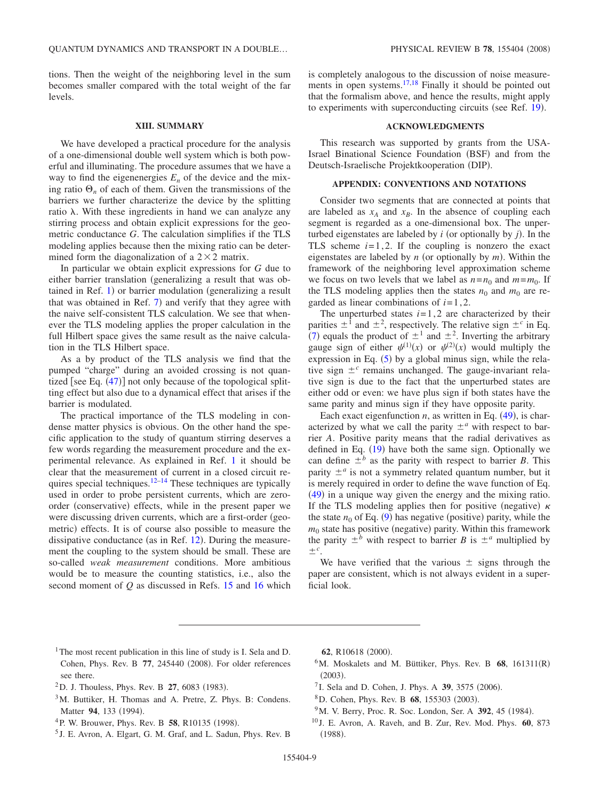tions. Then the weight of the neighboring level in the sum becomes smaller compared with the total weight of the far levels.

#### **XIII. SUMMARY**

We have developed a practical procedure for the analysis of a one-dimensional double well system which is both powerful and illuminating. The procedure assumes that we have a way to find the eigenenergies  $E_n$  of the device and the mixing ratio  $\Theta_n$  of each of them. Given the transmissions of the barriers we further characterize the device by the splitting ratio  $\lambda$ . With these ingredients in hand we can analyze any stirring process and obtain explicit expressions for the geometric conductance *G*. The calculation simplifies if the TLS modeling applies because then the mixing ratio can be determined form the diagonalization of a  $2 \times 2$  matrix.

In particular we obtain explicit expressions for *G* due to either barrier translation generalizing a result that was obtained in Ref.  $1$ ) or barrier modulation (generalizing a result that was obtained in Ref. [7](#page-8-5)) and verify that they agree with the naive self-consistent TLS calculation. We see that whenever the TLS modeling applies the proper calculation in the full Hilbert space gives the same result as the naive calculation in the TLS Hilbert space.

As a by product of the TLS analysis we find that the pumped "charge" during an avoided crossing is not quantized [see Eq.  $(47)$  $(47)$  $(47)$ ] not only because of the topological splitting effect but also due to a dynamical effect that arises if the barrier is modulated.

The practical importance of the TLS modeling in condense matter physics is obvious. On the other hand the specific application to the study of quantum stirring deserves a few words regarding the measurement procedure and the experimental relevance. As explained in Ref. [1](#page-8-0) it should be clear that the measurement of current in a closed circuit re-quires special techniques.<sup>12[–14](#page-9-2)</sup> These techniques are typically used in order to probe persistent currents, which are zeroorder (conservative) effects, while in the present paper we were discussing driven currents, which are a first-order (geometric) effects. It is of course also possible to measure the dissipative conductance (as in Ref.  $12$ ). During the measurement the coupling to the system should be small. These are so-called *weak measurement* conditions. More ambitious would be to measure the counting statistics, i.e., also the second moment of *Q* as discussed in Refs. [15](#page-9-3) and [16](#page-9-4) which is completely analogous to the discussion of noise measure-ments in open systems.<sup>17[,18](#page-9-6)</sup> Finally it should be pointed out that the formalism above, and hence the results, might apply to experiments with superconducting circuits (see Ref. [19](#page-9-7)).

## **ACKNOWLEDGMENTS**

This research was supported by grants from the USA-Israel Binational Science Foundation (BSF) and from the Deutsch-Israelische Projektkooperation (DIP).

#### **APPENDIX: CONVENTIONS AND NOTATIONS**

Consider two segments that are connected at points that are labeled as  $x_A$  and  $x_B$ . In the absence of coupling each segment is regarded as a one-dimensional box. The unperturbed eigenstates are labeled by  $i$  (or optionally by  $j$ ). In the TLS scheme  $i=1, 2$ . If the coupling is nonzero the exact eigenstates are labeled by  $n$  (or optionally by  $m$ ). Within the framework of the neighboring level approximation scheme we focus on two levels that we label as  $n = n_0$  and  $m = m_0$ . If the TLS modeling applies then the states  $n_0$  and  $m_0$  are regarded as linear combinations of  $i=1,2$ .

The unperturbed states  $i=1, 2$  are characterized by their parities  $\pm^1$  and  $\pm^2$ , respectively. The relative sign  $\pm^c$  in Eq. ([7](#page-1-3)) equals the product of  $\pm^1$  and  $\pm^2$ . Inverting the arbitrary gauge sign of either  $\psi^{(1)}(x)$  or  $\psi^{(2)}(x)$  would multiply the expression in Eq.  $(5)$  $(5)$  $(5)$  by a global minus sign, while the relative sign  $\pm^c$  remains unchanged. The gauge-invariant relative sign is due to the fact that the unperturbed states are either odd or even: we have plus sign if both states have the same parity and minus sign if they have opposite parity.

Each exact eigenfunction  $n$ , as written in Eq.  $(49)$  $(49)$  $(49)$ , is characterized by what we call the parity  $\pm^a$  with respect to barrier *A*. Positive parity means that the radial derivatives as defined in Eq.  $(19)$  $(19)$  $(19)$  have both the same sign. Optionally we can define  $\pm^{b}$  as the parity with respect to barrier *B*. This parity  $\pm^a$  is not a symmetry related quantum number, but it is merely required in order to define the wave function of Eq.  $(49)$  $(49)$  $(49)$  in a unique way given the energy and the mixing ratio. If the TLS modeling applies then for positive (negative)  $\kappa$ the state  $n_0$  of Eq. ([9](#page-1-4)) has negative (positive) parity, while the  $m_0$  state has positive (negative) parity. Within this framework the parity  $\pm^b$  with respect to barrier *B* is  $\pm^a$  multiplied by  $\pm^c$ .

We have verified that the various  $\pm$  signs through the paper are consistent, which is not always evident in a superficial look.

- <span id="page-8-0"></span><sup>1</sup>The most recent publication in this line of study is I. Sela and D. Cohen, Phys. Rev. B 77, 245440 (2008). For older references see there.
- <sup>2</sup>D. J. Thouless, Phys. Rev. B **27**, 6083 (1983).
- <span id="page-8-1"></span>3M. Buttiker, H. Thomas and A. Pretre, Z. Phys. B: Condens. Matter 94, 133 (1994).
- <span id="page-8-2"></span><sup>4</sup>P. W. Brouwer, Phys. Rev. B 58, R10135 (1998).
- <span id="page-8-3"></span><sup>5</sup> J. E. Avron, A. Elgart, G. M. Graf, and L. Sadun, Phys. Rev. B

62, R10618 (2000).

- <sup>6</sup>M. Moskalets and M. Büttiker, Phys. Rev. B 68, 161311(R)  $(2003).$
- <span id="page-8-4"></span><sup>7</sup> I. Sela and D. Cohen, J. Phys. A **39**, 3575 (2006).
- <span id="page-8-5"></span><sup>8</sup>D. Cohen, Phys. Rev. B **68**, 155303 (2003).
- <span id="page-8-6"></span><sup>9</sup>M. V. Berry, Proc. R. Soc. London, Ser. A **392**, 45 (1984).
- <span id="page-8-7"></span><sup>10</sup> J. E. Avron, A. Raveh, and B. Zur, Rev. Mod. Phys. **60**, 873  $(1988).$